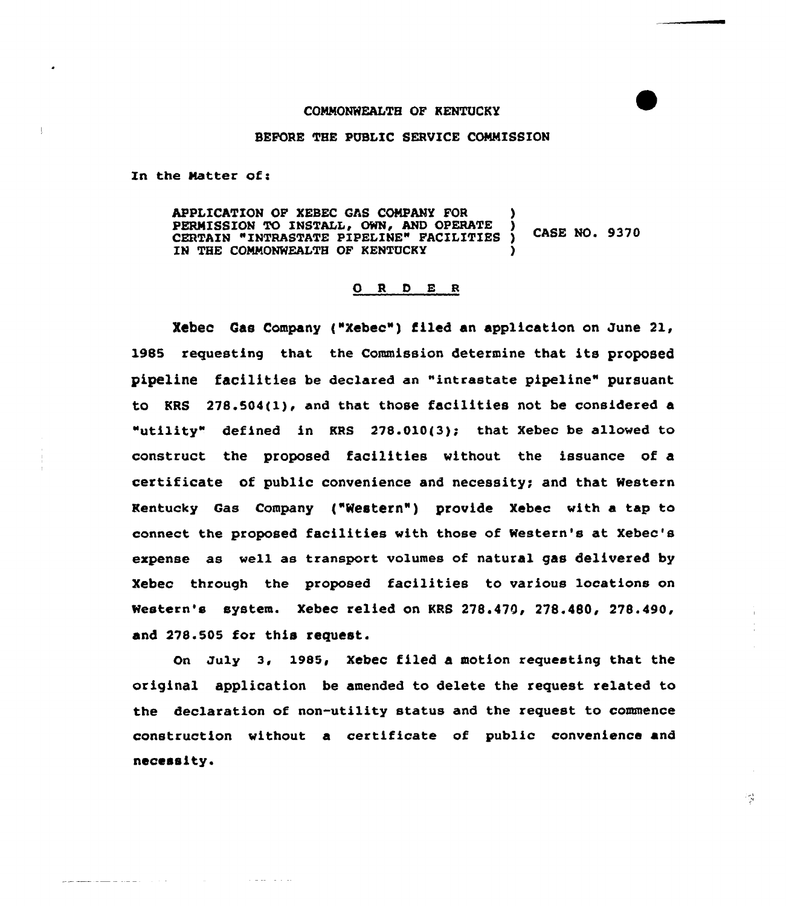## COMMONWEALTH OF KENTUCKY

## BEFORE THE PUBLIC SERVICE COMMISSION

In the Matter of:

والمستحدث المراجعين فالمستهد

APPLICATION OF XEBEC GAS COMPANY FOR PERMISSION TO INSTALL, OWN, AND OPERATE **CASE NO. 9370** CERTAIN "INTRASTATE PIPELINE" FACILITIES ) IN THE COMMONWEALTH OF KENTUCKY

## 0 R D E R

Xebec Gas Company ("Xebec") filed an application on June 21, 1985 requesting that the Commission determine that its proposed pipeline facilities be declared en "intrastate pipeline" pursuant to KRS 278.504(1), and that those facilities not be considered a "utility" defined in KRS 278.010(3); that Xebec be allowed to construct the proposed facilities without the issuance of a certificate of public convenience and necessity; and that Western Kentucky Gas company ("western" ) provide xebec with <sup>a</sup> tap to connect the proposed facilities with those of Western's at Xebec's erpense as well as transport volumes of natural gas delivered by Xebec through the proposed facilities to various locations on Western's system. Xebec relied on KRS 278.479, 278.480, 278.490, and 278.505 for this request.

on Ju1y 3, 1985, xebec filed a motion requesting that the original application be amended to delete the request related to the declaration of non-utility status and the request to commence construction without a certificate of public convenience and necessity.

52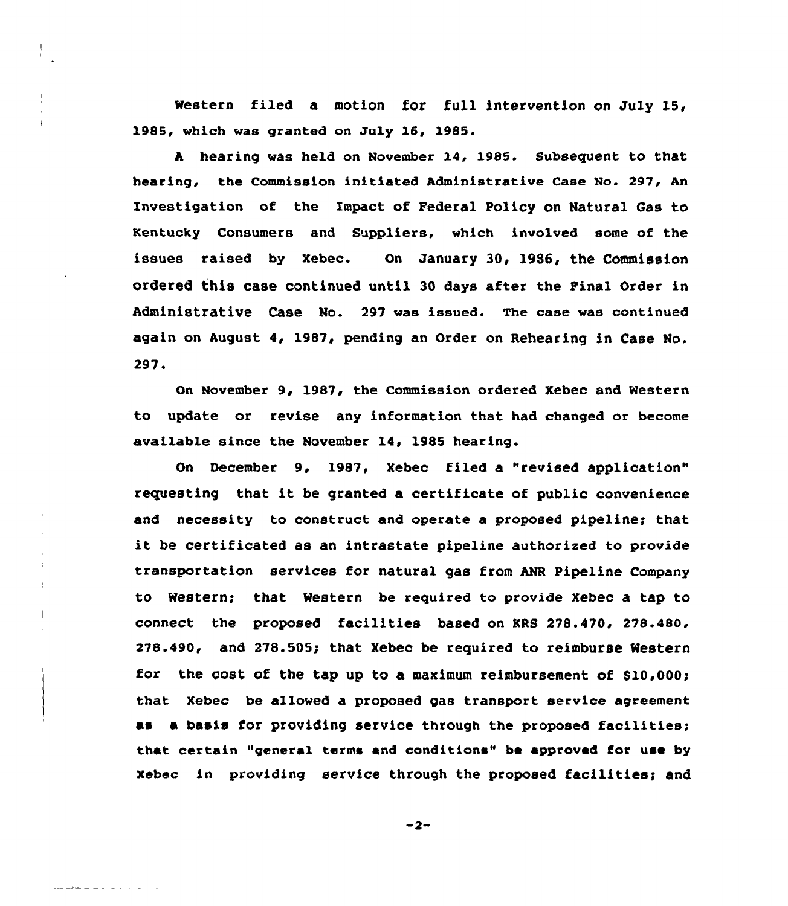Western filed a motion for full intervention on July 15, 1985, which was granted on July 16, 1985.

<sup>A</sup> hearing was held on November 14, 1985. Subsequent to that hearing, the Commission initiated Administrative Case No. 297, An Investigation of the Impact of Federal Policy on Natural Gas ta Kentucky Consumers and Suppliers, which involved some of the issues raised by xebec. on January 30, 19S6, the Commission ordered this case continued until 30 days after the Final order in Administrative Case No. 297 was issued. The case was continued again on August 4, 1987, pending an Order on Rehearing in Case No. 297.

On November 9, 1987, the Commission ordered Xebec and Western to update or revise any information that had changed ar become available since the November 14, 1985 hearing.

On December 9, 1987, Xebec filed a "revised application" requesting that it be granted a certificate of public convenience and necessity to construct and operate a proposed pipeline; that it be certificated as an intrastate pipeline authorized to provide transportation services for natural gas from ANR Pipeline Company to Western; that Western be required to provide Xebec a tap to connect the proposed facilities based on KRS 278.470, 278.480, 278.490, and 278.505; that Xebec be required to reimburse Western for the cost of the tap up to a maximum reimbursement of \$10,000! that Xebec be allowed a proposed gas transport service agreement as a basis for providing service through the proposed facilities; that certain "general terms and conditions" be approved for use by xebec in providing service through the proposed facilities; and

 $-2-$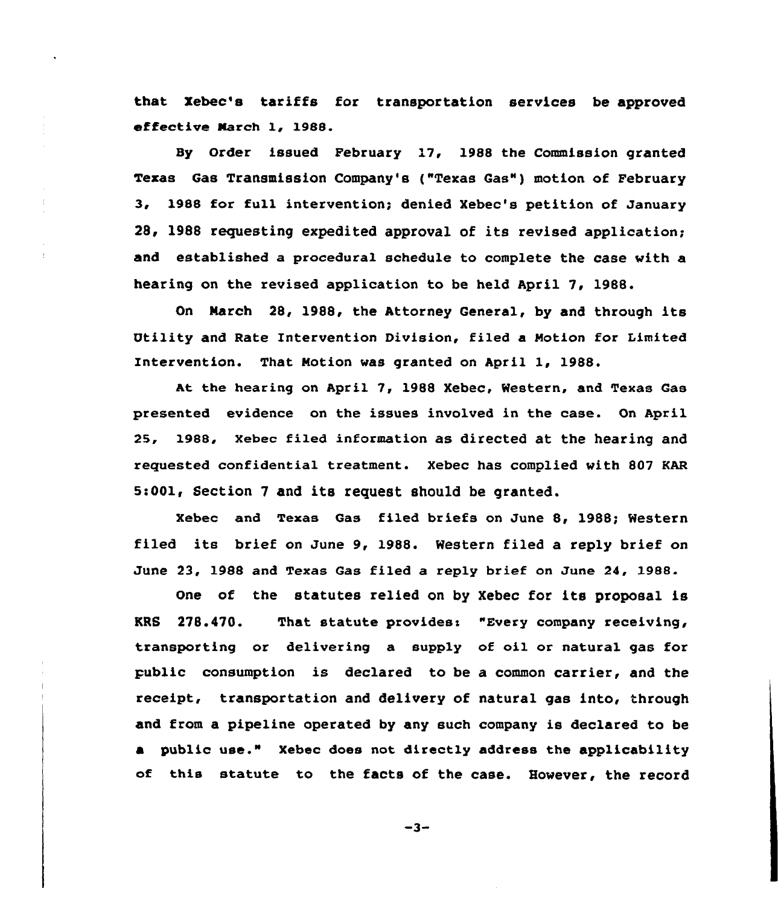that Xebec's tariffs for transportation services be approved effective Narch 1, 1988.

By Order issued February 17, 1988 the Commission granted Texas Gas Transmission Company's ("Texas Gas") motion of February 3, 1988 for full intervention; denied Xebec's petition of January 28, 1988 requesting expedited approval of its revised application; and established a procedural schedule to complete the case with a hearing on the revised application to be held April 7, 1988.

On March 28, 1988, the Attorney General, by and through its Utility and Rate Intervention Division, filed a Motion for Limited Intervention. That Motion was granted on April 1, 1988.

At the hearing on April 7, 1988 Xebec, Western, and Texas Gas presented evidence on the issues involved in the case. On April 2S, 1988, Xebec filed information as directed at the hearing and requested confidential treatment. Xebec has complied with 807 KAR Ss001, Section 7 and its request should be granted.

Xebec and Texas Gas filed briefs on June 8, 1988; Western filed its brief on June 9, 1988. western filed a reply brief on June 23, 1988 and Texas Gas filed a reply brief on June 24, 1988.

One of the statutes relied on by Xebec for its proposal is KRS 278.470. That statute provides: "Every company receiving, transporting or delivering a supply of oil or natural gas for public consumption is declared to be a common carrier, and the receipt, transportation and delivery of natural gas into, through and from a pipeline operated by any such company is declared to be a public use." Xebec does not directly address the applicability of this statute to the facts of the case. However, the record

 $-3-$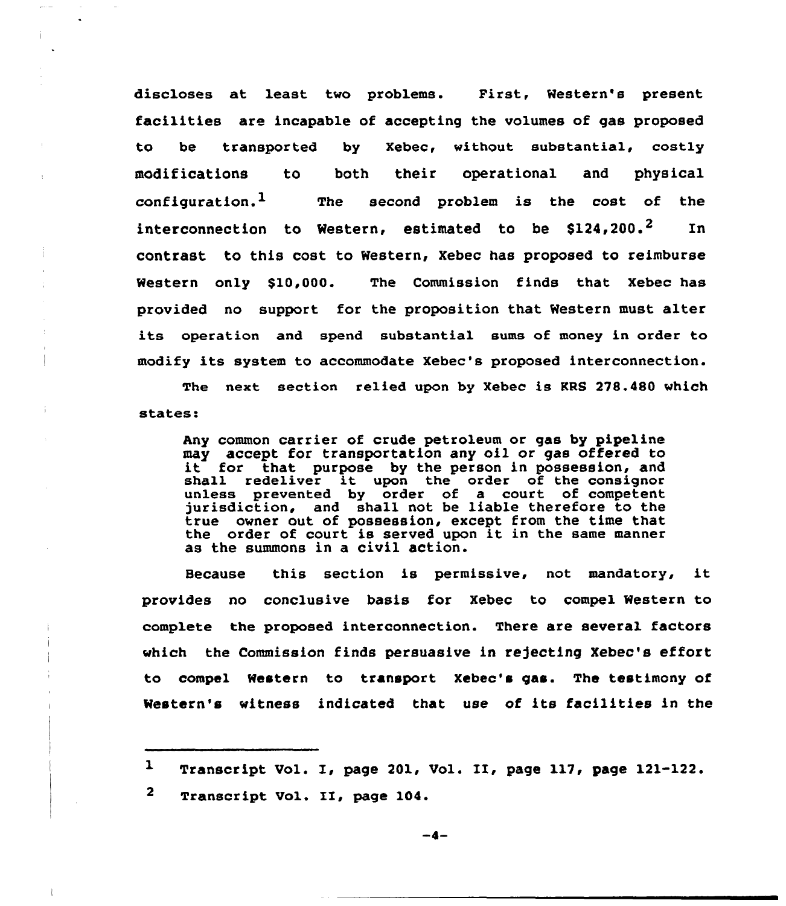discloses at least two problems. First, Western's present facilities are incapable of accepting the volumes of gas proposed to be transported by Xebec, without substantial, costly modifications to both their operational and physical configuration.<sup>1</sup> The second problem is the cost of the interconnection to Western, estimated to be \$124,200.<sup>2</sup> In contrast to this cost to Western, Xebec has proposed to reimburse Western only \$10,000. The Commission finds that Xebec has provided no support for the proposition that Western must alter its operation and spend substantial sums of money in order to modify its system to accommodate Xebec's proposed interconnection.

The next section relied upon by Xebec is KRS 278.480 which states:

Any common carrier of crude petroleum or gas by pipeline may accept for transportation any oil or gas offered to it for that purpose by the person in possession, and it for that purpose by the person in possession, an<br>shall redeliver it upon the order of the consigno unless prevented by order of a court of competent jurisdiction, and shall not be liable therefore to the true owner out of possession, except from the time that the order of court is served upon it in the same manner as the summons in a civil action.

Because this section is permissive, not mandatory, it provides no conclusive basis for Xebec to compel Western to complete the proposed interconnection. There are several factors which the Commission finds persuasive in rejecting Xebec's effort to compel Western to transport Xebec's gas. The testimony of Western's witness indicated that use of its facilities in the

 $\mathbf{1}$ Transcript Vol. I, page 201, Vol. II, page 117, page 121-122.

 $\mathbf{2}$ Transcript Vol. II, page 104.

 $-$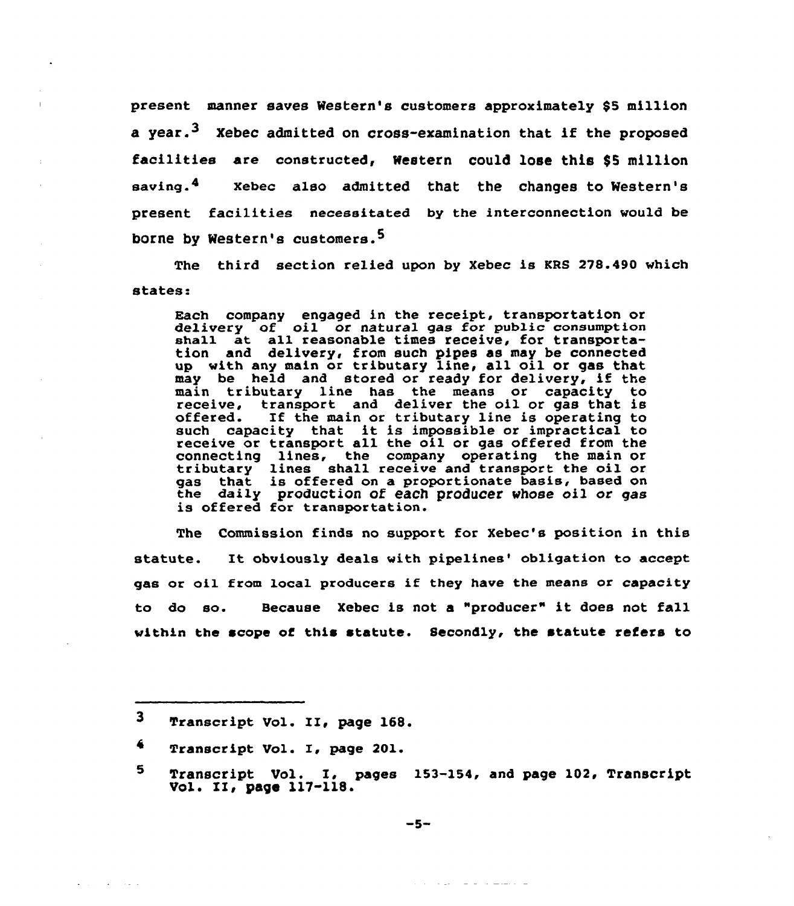present manner saves Western's customers approximately \$5 million a vear.<sup>3</sup> Xebec admitted on cross-examination that if the proposed facilities are constructed< Western could lose this \$<sup>5</sup> million saving.4 Xebec also admitted that the changes to Western's present facilities necessitated by the interconnection would be borne by Western's customers.<sup>5</sup>

The third section relied upon by Xebec is KRS 278.490 which states:

Each company engaged in the receipt, transportation or each company engaged in the receipt, transportation defively of oil of hatural gas for public consumptively of the all reasonable times receive, for transportation and delivery, from such pipes as may be connected up with any main or tributary line, all oil or gas that may be held and stored or ready for delivery, if the main tributary line has the means or capacity to receive, transport and deliver the oil or gas that is offered. If the main or tributary line is operating to such capacity that it is impossible or impractical to receive or transport all the oil or gas offered from the connecting lines, the company operating the main or connecting lines, the company operating the main of<br>tributary lines shall receive and transport the oil or gas that is offered on a proportionate basis, based on yas that is offered on a proportionate basis, based on<br>the daily production of each producer whose oil or gas<br>is offered for transportation.

The Commission finds no support for Xebec's position in this statute. It obviously deals with pipelines' obligation to accept gas or oil from local producers if they have the means or capacity to do so. Because Xebec is not <sup>a</sup> "producer" it does not fall within the scope of this statute. Secondly, the statute refers to

design of the contracts

کا دیکھیے کہ کہ کہ ایک دیا ہے جات

<sup>3</sup> Transcript Vol. II, page 168.

<sup>4</sup> Transcript Vol. I, page 201.

<sup>5</sup> Transcript Vol. I, pages 153-154, and page 102, Transcript Vol. II, page 117-118.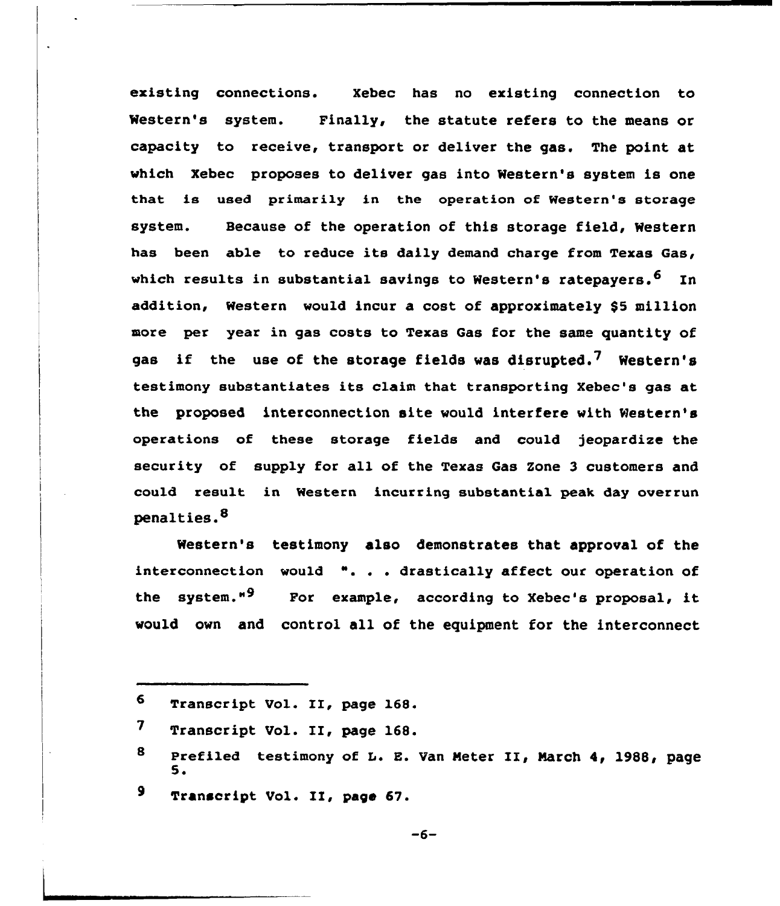existing connections. Xebec has no existing connection to Western's system. Finally, the statute refers to the means or capacity to receive, transport or deliver the gas. The point at which Xebec proposes to deliver gas into Western's system is one that is used primarily in the operation of Western's storage system. Because of the operation of this storage field, Western has been able to reduce its daily demand charge from Texas Gas, which results in substantial savings to Western's ratepayers.  $6$  In addition, Western would incur a cost of approximately \$5 million more per year in gas costs to Texas Gas for the same quantity of gas if the use of the storage fields was disrupted.<sup>7</sup> Western's testimony substantiates its claim that transporting Xebec's gas at the proposed interconnection site would interfere with Western's operations of these storage fields and could jeopardize the security of supply for all of the Texas Gas Zone 3 customers and could result in Western incurring substantial peak day overrun penalties.<sup>8</sup>

Western's testimony also demonstrates that approval of the interconnection would ". . . drastically affect our operation of the system."<sup>9</sup> For example, according to Xebec's proposal, it would own and control all of the equipment for the interconnect

9 Transcript Vol. II, page 67.

Transcript Vol. II, page 168. 6

Transcript Vol. II, page 168.  $7<sup>1</sup>$ 

<sup>8</sup> Prefiled testimony of L. E. Van Meter II, March 4, 1988, page  $5.$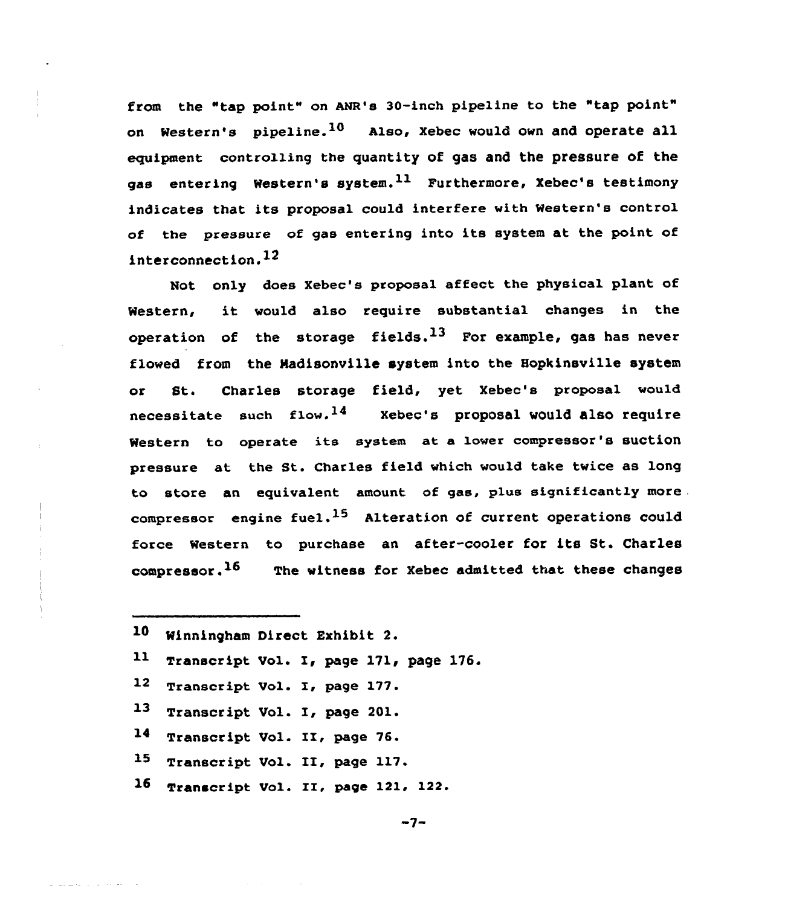from the "tap point" on ANR's 30-inch pipeline to the "tap point" on Western's pipeline.  $10$  Also, Xebec would own and operate all equipment controlling the quantity of gas and the pressure of the gas entering Western's system.  $11$  Furthermore, Xebec's testimony indicates that its proposal could interfere with Western's control of the pressure of gas entering into its system at the point of interconnection. $^{12}$ 

Not only does Xebec's proposal affect the physical plant of Western, it would also require substantial changes in the operation of the storage fields.<sup>13</sup> For example, gas has never flowed from the Nadisonville system into the Hopkinsville system or St. Charles storage field, yet Xebec's proposal would necessitate such flow.<sup>14</sup> Xebec's proposal would also require Western to operate its system at a lower compressor's suction pressure at the St. Charles field which would take twice as long to store an equivalent amount. of gas, plus significantly more . compressor engine fuel.<sup>15</sup> Alteration of current operations could force Western to purchase an after-cooler for its St. Charles compressor.  $16$  The witness for Xebec admitted that these changes

- Minningham Direct Exhibit 2.
- Transcript Vol. I, page 171, page 176. 11
- Transcript Vol. I, page 177.  $12$
- Transcript Vol. I, page 201. 13
- Transcript Vol. II, page 76.  $14$
- Transcript Vol. II, page 117.  $15<sub>1</sub>$
- Transcript Vol. II, page 121, 122. $16<sup>1</sup>$

 $-7-$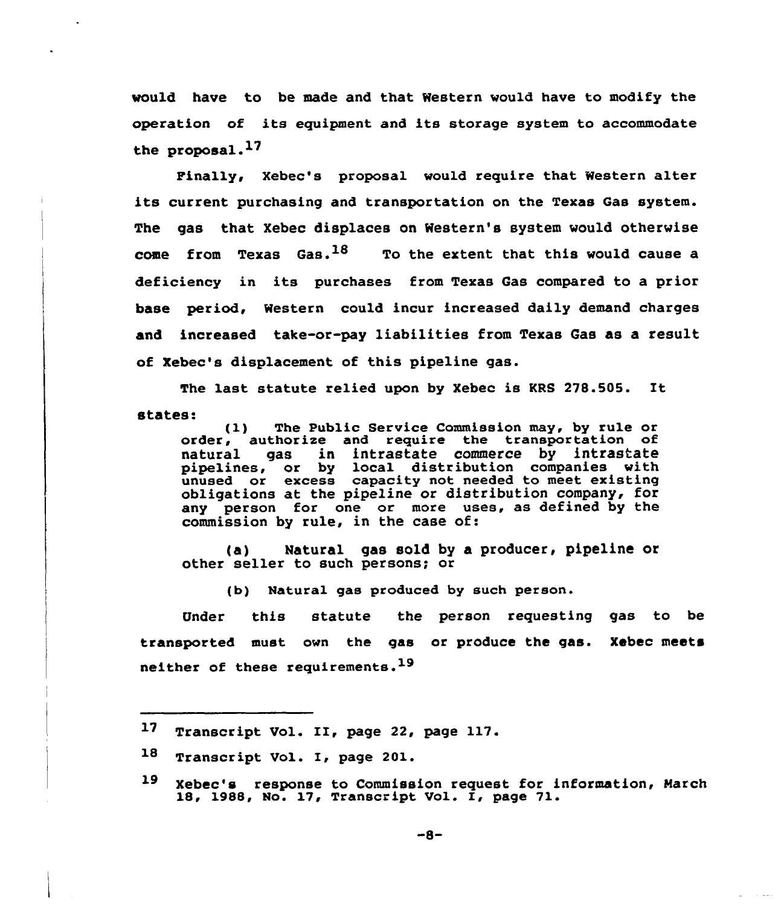would have to be made and that Western would have to modify the operation of its equipment and its storage system to accommodate the proposal.<sup>17</sup>

Pinally, Xebec's proposal would require that Western alter its current purchasing and transportation on the Texas Gas system. The gas that Xebec displaces on Western's system would otherwise come from Texas Gas.<sup>18</sup> To the extent that this would cause a deficiency in its purchases from Texas Gas compared to a prior base period, Western could incur increased daily demand charges and increased take-or-pay liabilities from Texas Gas as a result of Xebec's displacement of this pipeline gas.

The last statute relied upon by Xebec is KRS 278.505. It states: (1) The Public Service Commission may, by rule or

order, authorize and require the transportation of natural gas in intrastate commerce by intrastate pipelines, or by local distribution companies with unused or excess capacity not needed to meet existing obligations at the pipeline or distribution company, for any person for one or more uses, as defined by the commission by rule, in the case of:

(a) Natural gas sold by a producer, pipeline or other seller to such persons; or

(b) Natural gas produced by such person.

Under this statute the person requesting gas to be transported must own the gas or produce the gas. Xebec meets neither of these requirements.<sup>19</sup>

<sup>17</sup> Transcript Vol. II, page 22, page 117.

<sup>18</sup> Transcript Vol. I, page 201.

<sup>19</sup> Xebec's response to Commission request for information, March 18, 1988, No. 17, Transcript Vo1. I, page 71.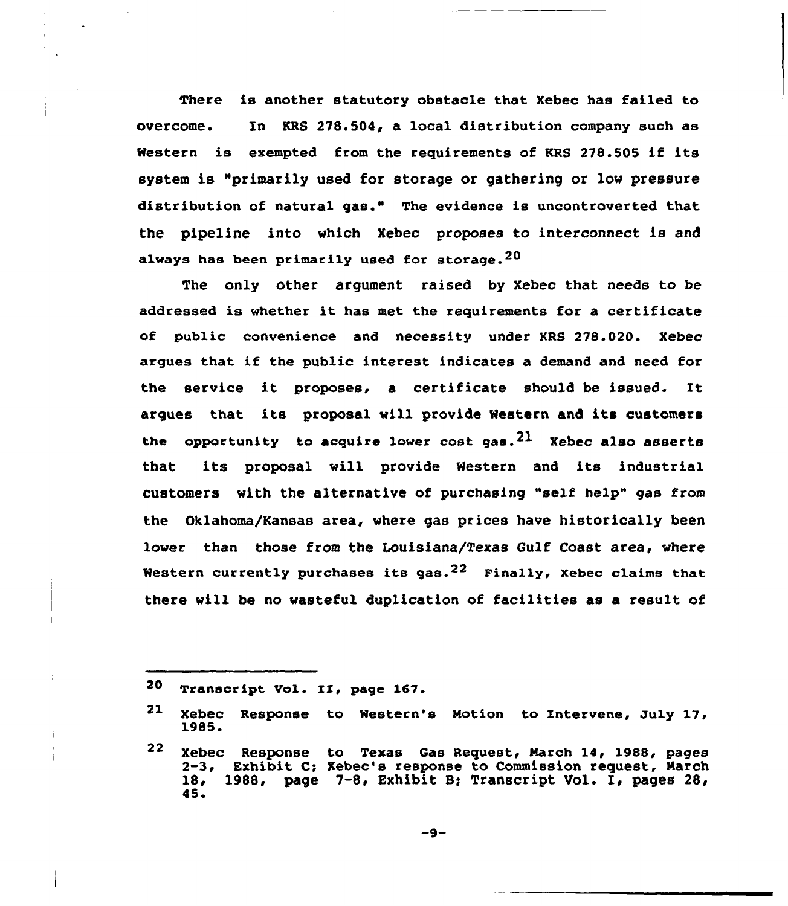There is another statutory obstacle that Xebec has failed to overcome. In KRS 278.504, a local distribution company such as Western is exempted from the requirements of KRS 278.505 if its system is "primarily used for storage or gathering or low pressure distribution of natural gas." The evidence is uncontroverted that the pipeline into vhich Xebec proposes to interconnect is and always has been primarily used for storage.  $^{20}$ 

The only other argument raised by Xebec that needs to be addressed is whether it has met the requirements for <sup>a</sup> certificate of public convenience and necessity under KRS 278.020. Xebec argues that if the public interest indicates a demand and need for the service it proposes, <sup>a</sup> certificate should be issued. It argues that its proposal vill provide Western and its customers the opportunity to acquire lower cost gas.  $21$  Xebec also asserts that its proposal vill provide Western and its industrial customers with the alternative of purchasing "self help" gas from the Oklahoma/Kansas area, where gas prices have historically been lover than those from the Louisiana/Texas Gulf Coast area, where Western currently purchases its gas.<sup>22</sup> Finally, Xebec claims that there vill be no vasteful duplication of facilities as a result of

<sup>20</sup> Transcript Vol. II, page 167.

<sup>21</sup> Xebec Response to Western's Notion to Entervene, July 17, 1985.

<sup>22</sup> Xebec Response to Texas Gas Request, Narch 14, 1988, pages 2-3, Exhibit C; Xebec's response to Commission request, March 18, 1988, page 7-8, Exhibit B; Transcript Vol. I, pages 28, 45.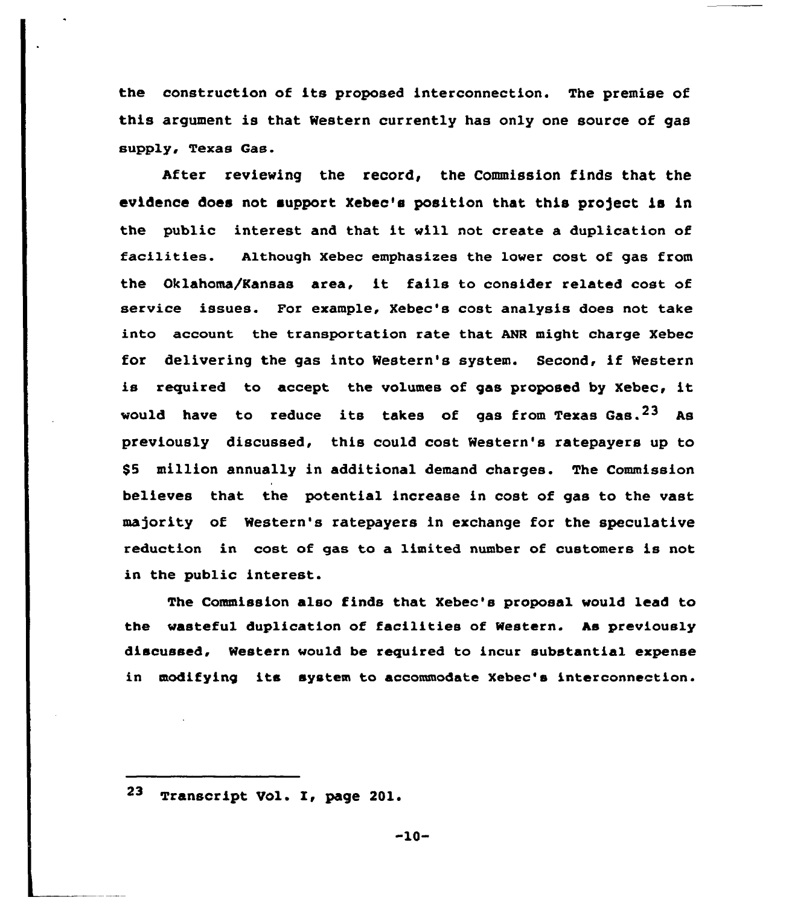the construction of its proposed interconnection. The premise of this argument is that Western currently has only one source of gas supply, Texas Gas.

After reviewing the record, the Commission finds that the evidence does not support Xebec's position that this project is in the public interest and that it will not create <sup>a</sup> duplication of facilities. Although Xebec emphasizes the lower cost of gas from the Oklahoma/Kansas area, it fails to consider related cost of service issues. For example, Xebec's cost analysis does not take into account the transportation rate that ANR might charge Xebec for delivering the gas into Western's system. Second, if Western is required to accept the volumes of gas proposed by Xebec, it would have to reduce its takes of gas from Texas  $Gas. <sup>23</sup>$  As previously discussed, this could cost Western's ratepayers up to \$5 million annually in additional demand charges. The Commission believes that the potential increase in cost of gas to the vast majority of Western's ratepayers in exchange for the speculative reduction in cost of gas to a limited number of customers is not in the public interest.

The Commission also finds that Xebec's proposal would lead to the wasteful duplication of facilities of Western. As previously discussed, Western would be required to incur substantial expense in modifying its system to accommodate Xebec's interconnection.

 $-10-$ 

 $23$ Transcript Vol. I, page 201.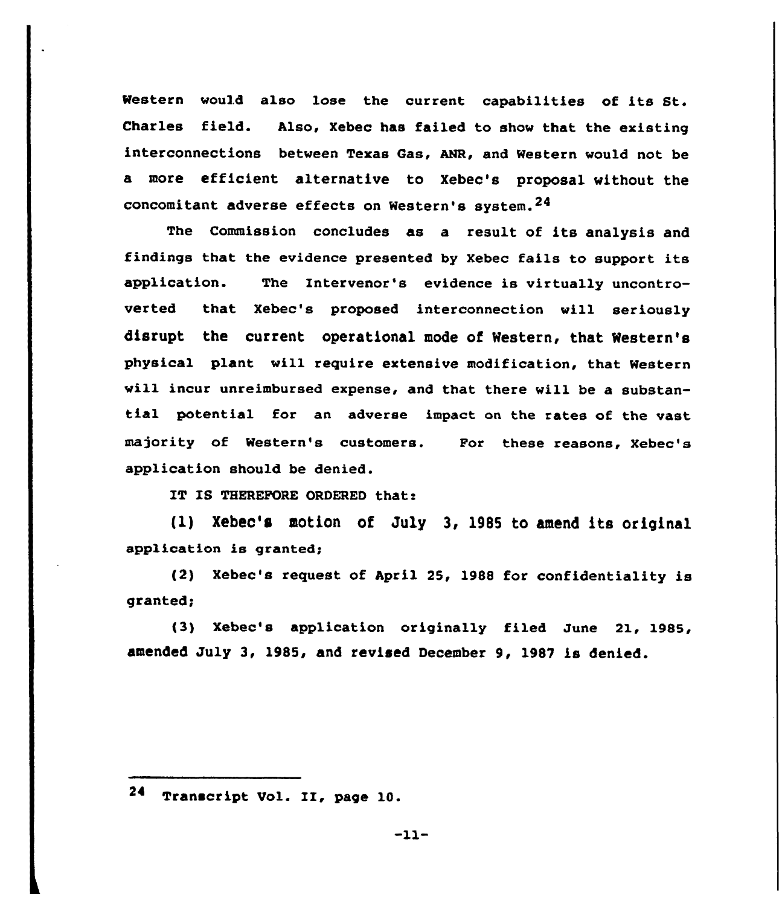Western would also lose the current capabilities of its St. Charles field. Also, Xebec has failed to show that the existing interconnections between Texas Gas, ANR, and Western would not be a more efficient alternative to Xebec's proposal without the concomitant adverse effects on Western's system.24

The Commission concludes as a result of its analysis and findings that the evidence presented by Xebec fails to support its application. The Intervenor's evidence is virtually uncontroverted that Xebec's proposed interconnection will seriously disrupt the current operational mode of Western, that Western's physical plant will require extensive modification, that Western wi11 incur unreimbursed expense, and that there will be a substantial potential for an adverse impact on the rates of the vast majority of Western's customers. Por these reasons, Xebec's application should be denied.

IT IS THEREFORE ORDERED that:

(1) Xebec's motion of July 3, 1985 to amend its original application is granted;

(2) Xebec's request of April 25, 1988 for confidentiality is granted;

(3) Xebec's application originally filed June 21, 1985, amended July 3, 1985, and revised December 9, 1987 is denied.

 $-11-$ 

<sup>24</sup> Transcript Vol. II, page 10.